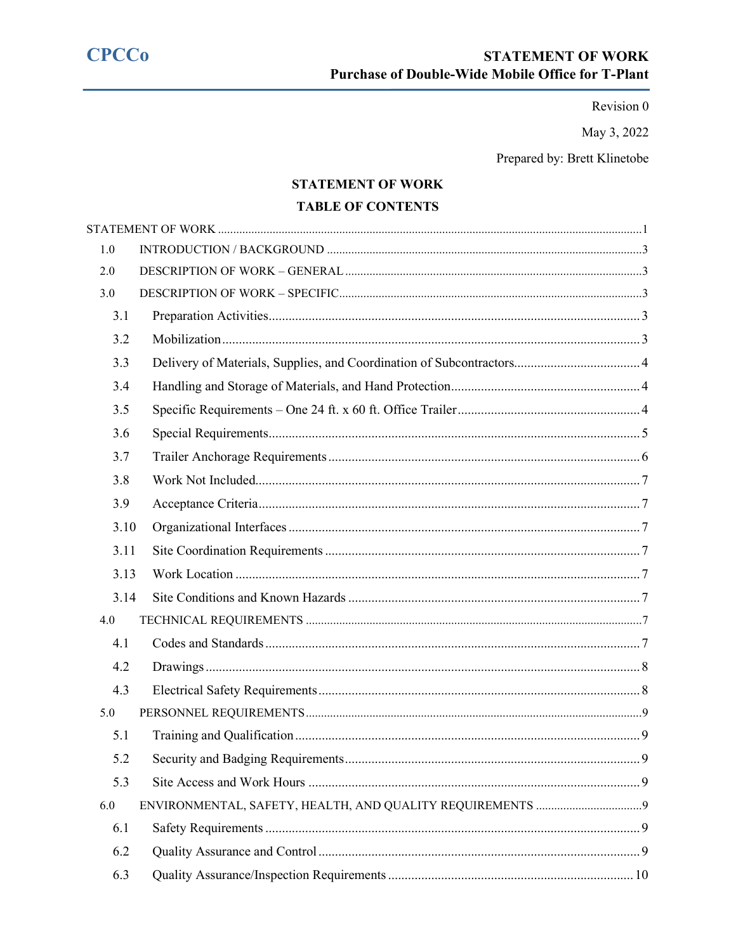**CPCCo** 

Revision 0

May 3, 2022

Prepared by: Brett Klinetobe

# **STATEMENT OF WORK**

# **TABLE OF CONTENTS**

<span id="page-0-0"></span>

| 1.0  |   |
|------|---|
| 2.0  |   |
| 3.0  |   |
| 3.1  |   |
| 3.2  |   |
| 3.3  |   |
| 3.4  |   |
| 3.5  |   |
| 3.6  |   |
| 3.7  |   |
| 3.8  |   |
| 3.9  |   |
| 3.10 |   |
| 3.11 |   |
| 3.13 |   |
| 3.14 |   |
| 4.0  |   |
| 4.1  |   |
| 4.2  |   |
| 4.3  |   |
| 5.0  |   |
| 5.1  |   |
| 5.2  | 9 |
| 5.3  |   |
| 6.0  |   |
| 6.1  |   |
| 6.2  |   |
| 6.3  |   |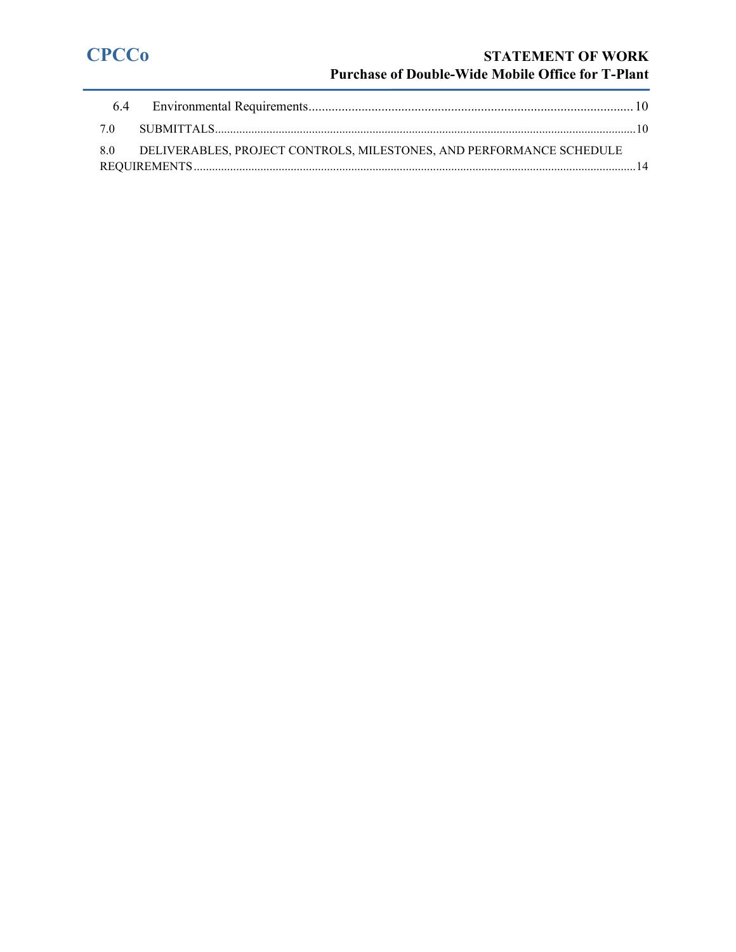# **CPCCo STATEMENT OF WORK Purchase of Double-Wide Mobile Office for T-Plant**

| 8.0 DELIVERABLES, PROJECT CONTROLS, MILESTONES, AND PERFORMANCE SCHEDULE |  |
|--------------------------------------------------------------------------|--|
|                                                                          |  |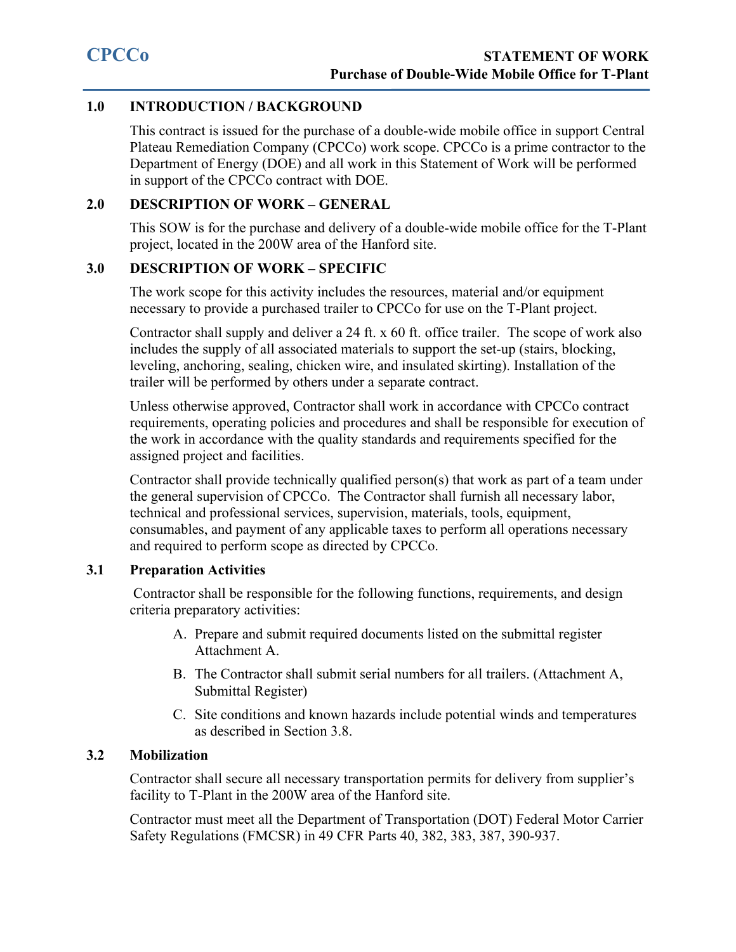# <span id="page-2-0"></span>**1.0 INTRODUCTION / BACKGROUND**

This contract is issued for the purchase of a double-wide mobile office in support Central Plateau Remediation Company (CPCCo) work scope. CPCCo is a prime contractor to the Department of Energy (DOE) and all work in this Statement of Work will be performed in support of the CPCCo contract with DOE.

# <span id="page-2-1"></span>**2.0 DESCRIPTION OF WORK – GENERAL**

This SOW is for the purchase and delivery of a double-wide mobile office for the T-Plant project, located in the 200W area of the Hanford site.

# <span id="page-2-2"></span>**3.0 DESCRIPTION OF WORK – SPECIFIC**

The work scope for this activity includes the resources, material and/or equipment necessary to provide a purchased trailer to CPCCo for use on the T-Plant project.

Contractor shall supply and deliver a 24 ft. x 60 ft. office trailer. The scope of work also includes the supply of all associated materials to support the set-up (stairs, blocking, leveling, anchoring, sealing, chicken wire, and insulated skirting). Installation of the trailer will be performed by others under a separate contract.

Unless otherwise approved, Contractor shall work in accordance with CPCCo contract requirements, operating policies and procedures and shall be responsible for execution of the work in accordance with the quality standards and requirements specified for the assigned project and facilities.

Contractor shall provide technically qualified person(s) that work as part of a team under the general supervision of CPCCo. The Contractor shall furnish all necessary labor, technical and professional services, supervision, materials, tools, equipment, consumables, and payment of any applicable taxes to perform all operations necessary and required to perform scope as directed by CPCCo.

# <span id="page-2-3"></span>**3.1 Preparation Activities**

Contractor shall be responsible for the following functions, requirements, and design criteria preparatory activities:

- A. Prepare and submit required documents listed on the submittal register Attachment A.
- B. The Contractor shall submit serial numbers for all trailers. (Attachment A, Submittal Register)
- C. Site conditions and known hazards include potential winds and temperatures as described in Section 3.8.

# <span id="page-2-4"></span>**3.2 Mobilization**

Contractor shall secure all necessary transportation permits for delivery from supplier's facility to T-Plant in the 200W area of the Hanford site.

Contractor must meet all the Department of Transportation (DOT) Federal Motor Carrier Safety Regulations (FMCSR) in 49 CFR Parts 40, 382, 383, 387, 390-937.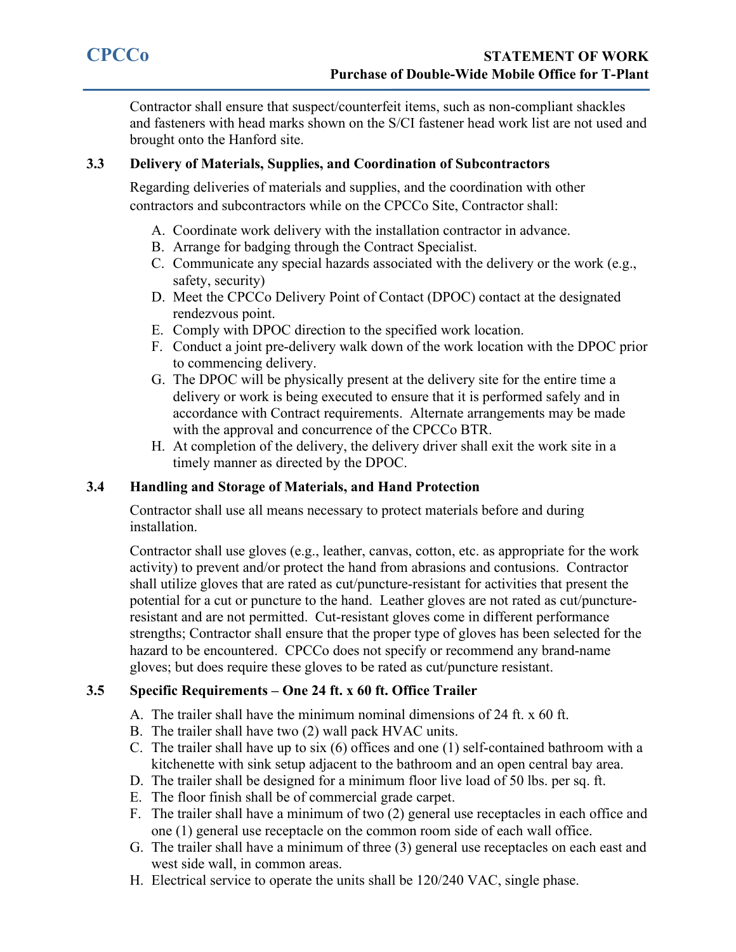Contractor shall ensure that suspect/counterfeit items, such as non-compliant shackles and fasteners with head marks shown on the S/CI fastener head work list are not used and brought onto the Hanford site.

# <span id="page-3-0"></span>**3.3 Delivery of Materials, Supplies, and Coordination of Subcontractors**

Regarding deliveries of materials and supplies, and the coordination with other contractors and subcontractors while on the CPCCo Site, Contractor shall:

- A. Coordinate work delivery with the installation contractor in advance.
- B. Arrange for badging through the Contract Specialist.
- C. Communicate any special hazards associated with the delivery or the work (e.g., safety, security)
- D. Meet the CPCCo Delivery Point of Contact (DPOC) contact at the designated rendezvous point.
- E. Comply with DPOC direction to the specified work location.
- F. Conduct a joint pre-delivery walk down of the work location with the DPOC prior to commencing delivery.
- G. The DPOC will be physically present at the delivery site for the entire time a delivery or work is being executed to ensure that it is performed safely and in accordance with Contract requirements. Alternate arrangements may be made with the approval and concurrence of the CPCCo BTR.
- H. At completion of the delivery, the delivery driver shall exit the work site in a timely manner as directed by the DPOC.

# <span id="page-3-1"></span>**3.4 Handling and Storage of Materials, and Hand Protection**

Contractor shall use all means necessary to protect materials before and during installation.

Contractor shall use gloves (e.g., leather, canvas, cotton, etc. as appropriate for the work activity) to prevent and/or protect the hand from abrasions and contusions. Contractor shall utilize gloves that are rated as cut/puncture-resistant for activities that present the potential for a cut or puncture to the hand. Leather gloves are not rated as cut/punctureresistant and are not permitted. Cut-resistant gloves come in different performance strengths; Contractor shall ensure that the proper type of gloves has been selected for the hazard to be encountered. CPCCo does not specify or recommend any brand-name gloves; but does require these gloves to be rated as cut/puncture resistant.

# <span id="page-3-2"></span>**3.5 Specific Requirements – One 24 ft. x 60 ft. Office Trailer**

- A. The trailer shall have the minimum nominal dimensions of 24 ft. x 60 ft.
- B. The trailer shall have two (2) wall pack HVAC units.
- C. The trailer shall have up to six (6) offices and one (1) self-contained bathroom with a kitchenette with sink setup adjacent to the bathroom and an open central bay area.
- D. The trailer shall be designed for a minimum floor live load of 50 lbs. per sq. ft.
- E. The floor finish shall be of commercial grade carpet.
- F. The trailer shall have a minimum of two (2) general use receptacles in each office and one (1) general use receptacle on the common room side of each wall office.
- G. The trailer shall have a minimum of three (3) general use receptacles on each east and west side wall, in common areas.
- H. Electrical service to operate the units shall be 120/240 VAC, single phase.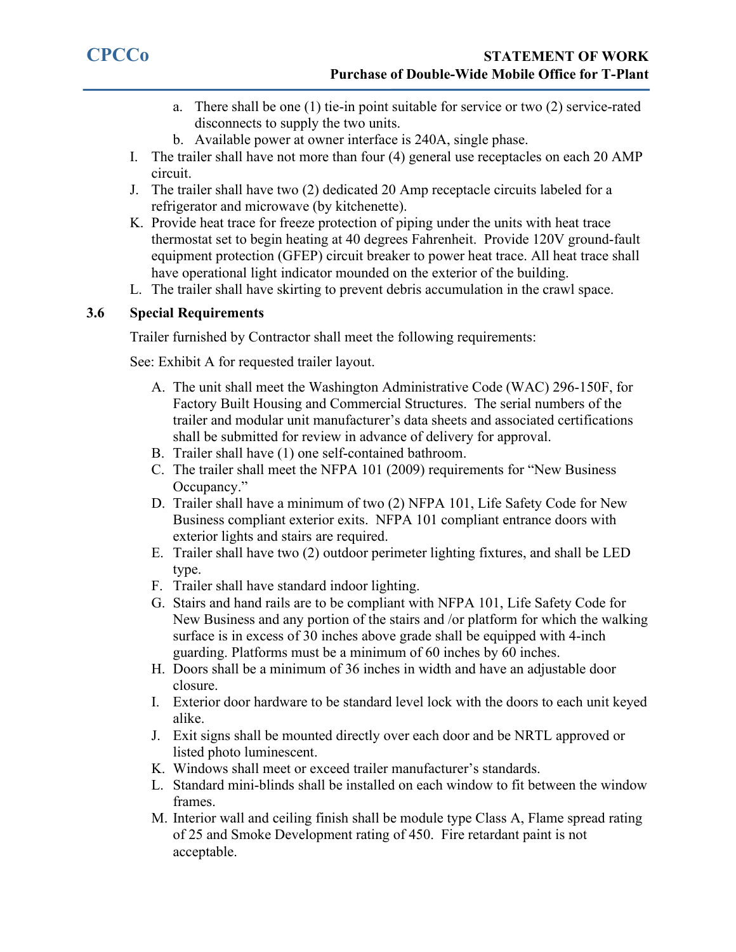- a. There shall be one (1) tie-in point suitable for service or two (2) service-rated disconnects to supply the two units.
- b. Available power at owner interface is 240A, single phase.
- I. The trailer shall have not more than four (4) general use receptacles on each 20 AMP circuit.
- J. The trailer shall have two (2) dedicated 20 Amp receptacle circuits labeled for a refrigerator and microwave (by kitchenette).
- K. Provide heat trace for freeze protection of piping under the units with heat trace thermostat set to begin heating at 40 degrees Fahrenheit. Provide 120V ground-fault equipment protection (GFEP) circuit breaker to power heat trace. All heat trace shall have operational light indicator mounded on the exterior of the building.
- L. The trailer shall have skirting to prevent debris accumulation in the crawl space.

# <span id="page-4-0"></span>**3.6 Special Requirements**

Trailer furnished by Contractor shall meet the following requirements:

See: Exhibit A for requested trailer layout.

- A. The unit shall meet the Washington Administrative Code (WAC) 296-150F, for Factory Built Housing and Commercial Structures. The serial numbers of the trailer and modular unit manufacturer's data sheets and associated certifications shall be submitted for review in advance of delivery for approval.
- B. Trailer shall have (1) one self-contained bathroom.
- C. The trailer shall meet the NFPA 101 (2009) requirements for "New Business Occupancy."
- D. Trailer shall have a minimum of two (2) NFPA 101, Life Safety Code for New Business compliant exterior exits. NFPA 101 compliant entrance doors with exterior lights and stairs are required.
- E. Trailer shall have two (2) outdoor perimeter lighting fixtures, and shall be LED type.
- F. Trailer shall have standard indoor lighting.
- G. Stairs and hand rails are to be compliant with NFPA 101, Life Safety Code for New Business and any portion of the stairs and /or platform for which the walking surface is in excess of 30 inches above grade shall be equipped with 4-inch guarding. Platforms must be a minimum of 60 inches by 60 inches.
- H. Doors shall be a minimum of 36 inches in width and have an adjustable door closure.
- I. Exterior door hardware to be standard level lock with the doors to each unit keyed alike.
- J. Exit signs shall be mounted directly over each door and be NRTL approved or listed photo luminescent.
- K. Windows shall meet or exceed trailer manufacturer's standards.
- L. Standard mini-blinds shall be installed on each window to fit between the window frames.
- M. Interior wall and ceiling finish shall be module type Class A, Flame spread rating of 25 and Smoke Development rating of 450. Fire retardant paint is not acceptable.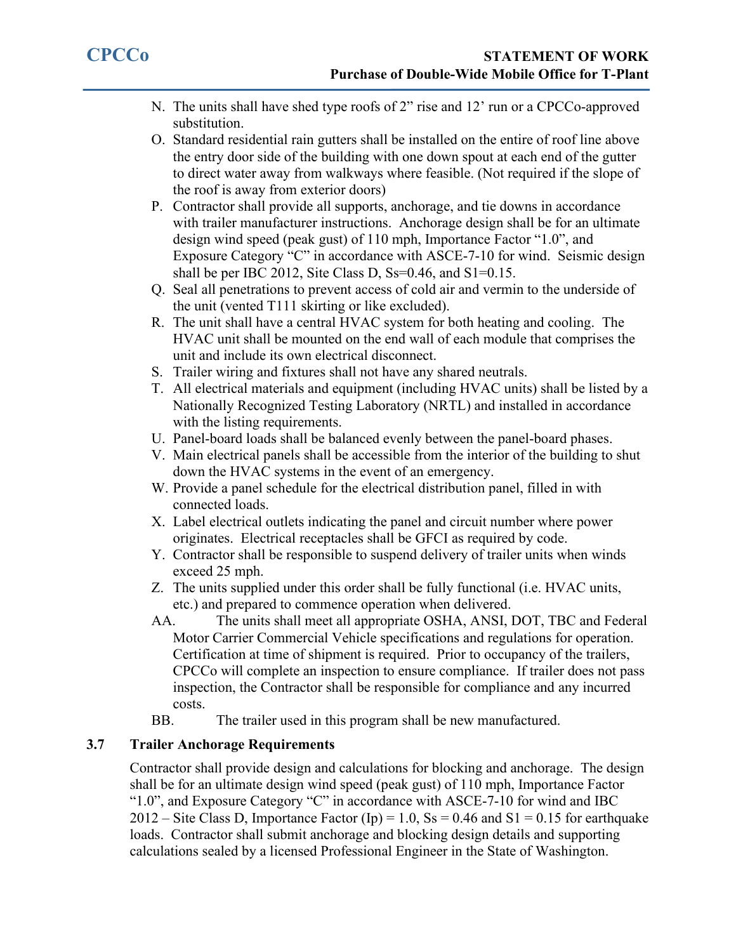- N. The units shall have shed type roofs of 2" rise and 12' run or a CPCCo-approved substitution.
- O. Standard residential rain gutters shall be installed on the entire of roof line above the entry door side of the building with one down spout at each end of the gutter to direct water away from walkways where feasible. (Not required if the slope of the roof is away from exterior doors)
- P. Contractor shall provide all supports, anchorage, and tie downs in accordance with trailer manufacturer instructions. Anchorage design shall be for an ultimate design wind speed (peak gust) of 110 mph, Importance Factor "1.0", and Exposure Category "C" in accordance with ASCE-7-10 for wind. Seismic design shall be per IBC 2012, Site Class D, Ss=0.46, and S1=0.15.
- Q. Seal all penetrations to prevent access of cold air and vermin to the underside of the unit (vented T111 skirting or like excluded).
- R. The unit shall have a central HVAC system for both heating and cooling. The HVAC unit shall be mounted on the end wall of each module that comprises the unit and include its own electrical disconnect.
- S. Trailer wiring and fixtures shall not have any shared neutrals.
- T. All electrical materials and equipment (including HVAC units) shall be listed by a Nationally Recognized Testing Laboratory (NRTL) and installed in accordance with the listing requirements.
- U. Panel-board loads shall be balanced evenly between the panel-board phases.
- V. Main electrical panels shall be accessible from the interior of the building to shut down the HVAC systems in the event of an emergency.
- W. Provide a panel schedule for the electrical distribution panel, filled in with connected loads.
- X. Label electrical outlets indicating the panel and circuit number where power originates. Electrical receptacles shall be GFCI as required by code.
- Y. Contractor shall be responsible to suspend delivery of trailer units when winds exceed 25 mph.
- Z. The units supplied under this order shall be fully functional (i.e. HVAC units, etc.) and prepared to commence operation when delivered.
- AA. The units shall meet all appropriate OSHA, ANSI, DOT, TBC and Federal Motor Carrier Commercial Vehicle specifications and regulations for operation. Certification at time of shipment is required. Prior to occupancy of the trailers, CPCCo will complete an inspection to ensure compliance. If trailer does not pass inspection, the Contractor shall be responsible for compliance and any incurred costs.
- BB. The trailer used in this program shall be new manufactured.

# <span id="page-5-0"></span>**3.7 Trailer Anchorage Requirements**

Contractor shall provide design and calculations for blocking and anchorage. The design shall be for an ultimate design wind speed (peak gust) of 110 mph, Importance Factor "1.0", and Exposure Category "C" in accordance with ASCE-7-10 for wind and IBC 2012 – Site Class D, Importance Factor (Ip) = 1.0,  $\text{Ss} = 0.46$  and S1 = 0.15 for earthquake loads. Contractor shall submit anchorage and blocking design details and supporting calculations sealed by a licensed Professional Engineer in the State of Washington.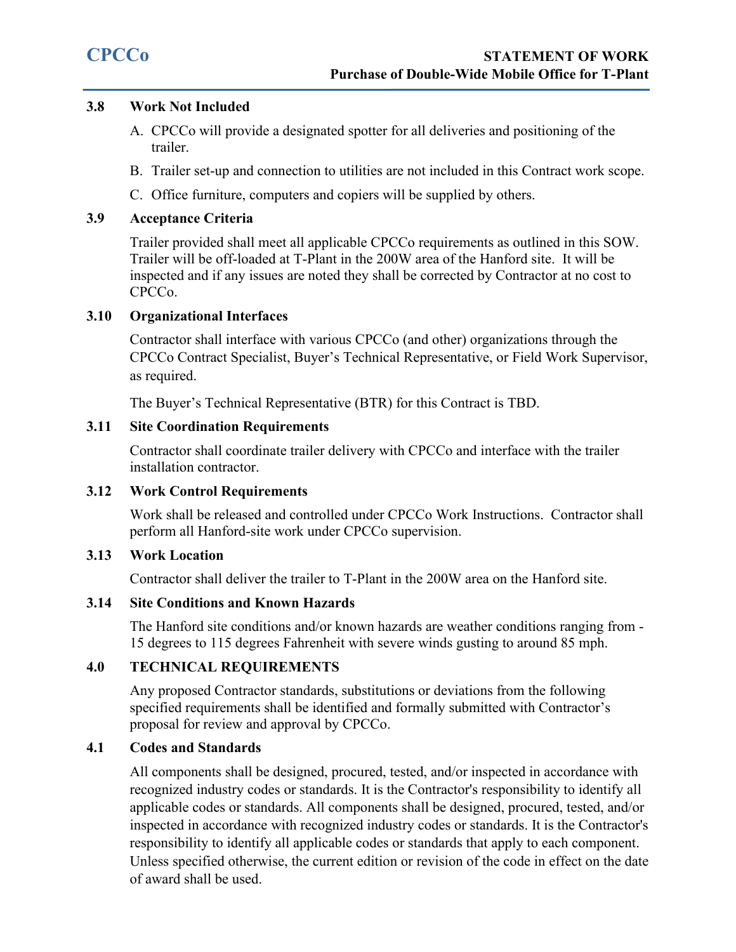# <span id="page-6-0"></span>**3.8 Work Not Included**

- A. CPCCo will provide a designated spotter for all deliveries and positioning of the trailer.
- B. Trailer set-up and connection to utilities are not included in this Contract work scope.
- C. Office furniture, computers and copiers will be supplied by others.

# <span id="page-6-1"></span>**3.9 Acceptance Criteria**

Trailer provided shall meet all applicable CPCCo requirements as outlined in this SOW. Trailer will be off-loaded at T-Plant in the 200W area of the Hanford site. It will be inspected and if any issues are noted they shall be corrected by Contractor at no cost to CPCCo.

# <span id="page-6-2"></span>**3.10 Organizational Interfaces**

Contractor shall interface with various CPCCo (and other) organizations through the CPCCo Contract Specialist, Buyer's Technical Representative, or Field Work Supervisor, as required.

The Buyer's Technical Representative (BTR) for this Contract is TBD.

# <span id="page-6-3"></span>**3.11 Site Coordination Requirements**

Contractor shall coordinate trailer delivery with CPCCo and interface with the trailer installation contractor.

# **3.12 Work Control Requirements**

Work shall be released and controlled under CPCCo Work Instructions. Contractor shall perform all Hanford-site work under CPCCo supervision.

# <span id="page-6-4"></span>**3.13 Work Location**

Contractor shall deliver the trailer to T-Plant in the 200W area on the Hanford site.

# <span id="page-6-5"></span>**3.14 Site Conditions and Known Hazards**

The Hanford site conditions and/or known hazards are weather conditions ranging from - 15 degrees to 115 degrees Fahrenheit with severe winds gusting to around 85 mph.

# <span id="page-6-6"></span>**4.0 TECHNICAL REQUIREMENTS**

Any proposed Contractor standards, substitutions or deviations from the following specified requirements shall be identified and formally submitted with Contractor's proposal for review and approval by CPCCo.

# <span id="page-6-7"></span>**4.1 Codes and Standards**

All components shall be designed, procured, tested, and/or inspected in accordance with recognized industry codes or standards. It is the Contractor's responsibility to identify all applicable codes or standards. All components shall be designed, procured, tested, and/or inspected in accordance with recognized industry codes or standards. It is the Contractor's responsibility to identify all applicable codes or standards that apply to each component. Unless specified otherwise, the current edition or revision of the code in effect on the date of award shall be used.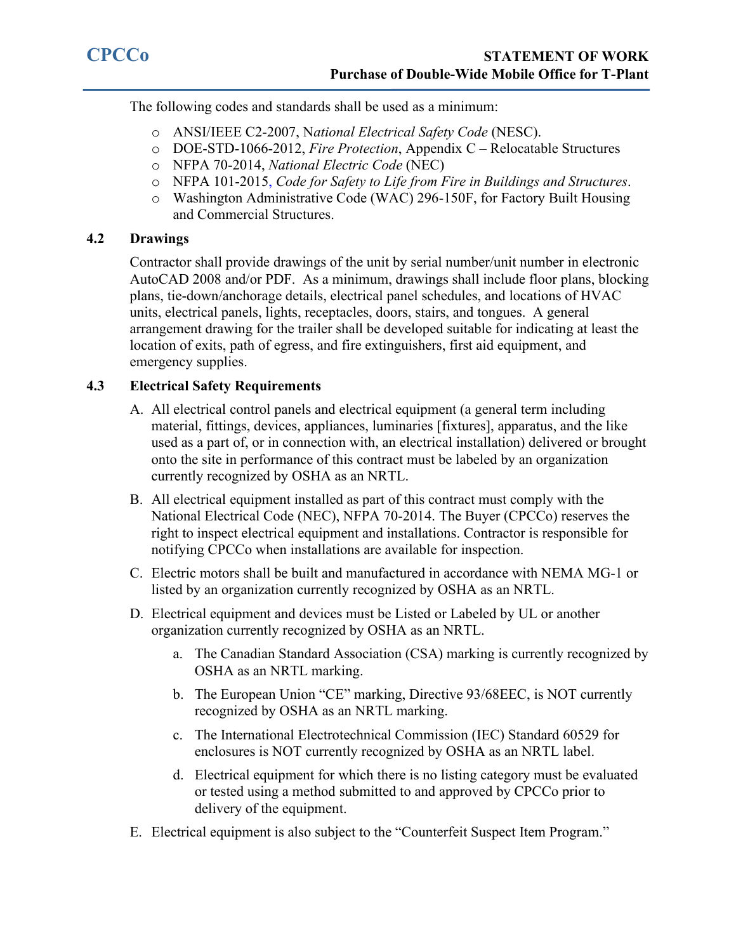The following codes and standards shall be used as a minimum:

- o ANSI/IEEE C2-2007, N*ational Electrical Safety Code* (NESC).
- o DOE-STD-1066-2012, *Fire Protection*, Appendix C Relocatable Structures
- o NFPA 70-2014, *National Electric Code* (NEC)
- o NFPA 101-2015, *Code for Safety to Life from Fire in Buildings and Structures*.
- o Washington Administrative Code (WAC) 296-150F, for Factory Built Housing and Commercial Structures.

# <span id="page-7-0"></span>**4.2 Drawings**

Contractor shall provide drawings of the unit by serial number/unit number in electronic AutoCAD 2008 and/or PDF. As a minimum, drawings shall include floor plans, blocking plans, tie-down/anchorage details, electrical panel schedules, and locations of HVAC units, electrical panels, lights, receptacles, doors, stairs, and tongues. A general arrangement drawing for the trailer shall be developed suitable for indicating at least the location of exits, path of egress, and fire extinguishers, first aid equipment, and emergency supplies.

# <span id="page-7-1"></span>**4.3 Electrical Safety Requirements**

- A. All electrical control panels and electrical equipment (a general term including material, fittings, devices, appliances, luminaries [fixtures], apparatus, and the like used as a part of, or in connection with, an electrical installation) delivered or brought onto the site in performance of this contract must be labeled by an organization currently recognized by OSHA as an NRTL.
- B. All electrical equipment installed as part of this contract must comply with the National Electrical Code (NEC), NFPA 70-2014. The Buyer (CPCCo) reserves the right to inspect electrical equipment and installations. Contractor is responsible for notifying CPCCo when installations are available for inspection.
- C. Electric motors shall be built and manufactured in accordance with NEMA MG-1 or listed by an organization currently recognized by OSHA as an NRTL.
- D. Electrical equipment and devices must be Listed or Labeled by UL or another organization currently recognized by OSHA as an NRTL.
	- a. The Canadian Standard Association (CSA) marking is currently recognized by OSHA as an NRTL marking.
	- b. The European Union "CE" marking, Directive 93/68EEC, is NOT currently recognized by OSHA as an NRTL marking.
	- c. The International Electrotechnical Commission (IEC) Standard 60529 for enclosures is NOT currently recognized by OSHA as an NRTL label.
	- d. Electrical equipment for which there is no listing category must be evaluated or tested using a method submitted to and approved by CPCCo prior to delivery of the equipment.
- E. Electrical equipment is also subject to the "Counterfeit Suspect Item Program."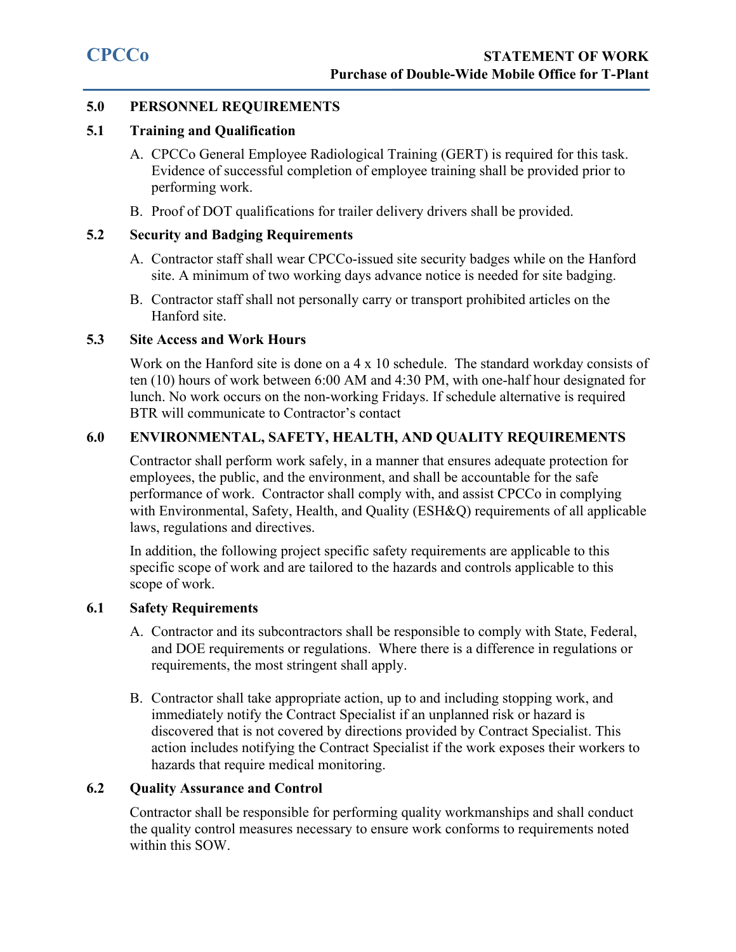# <span id="page-8-0"></span>**5.0 PERSONNEL REQUIREMENTS**

#### <span id="page-8-1"></span>**5.1 Training and Qualification**

- A. CPCCo General Employee Radiological Training (GERT) is required for this task. Evidence of successful completion of employee training shall be provided prior to performing work.
- B. Proof of DOT qualifications for trailer delivery drivers shall be provided.

# <span id="page-8-2"></span>**5.2 Security and Badging Requirements**

- A. Contractor staff shall wear CPCCo-issued site security badges while on the Hanford site. A minimum of two working days advance notice is needed for site badging.
- B. Contractor staff shall not personally carry or transport prohibited articles on the Hanford site.

# <span id="page-8-3"></span>**5.3 Site Access and Work Hours**

Work on the Hanford site is done on a 4 x 10 schedule. The standard workday consists of ten (10) hours of work between 6:00 AM and 4:30 PM, with one-half hour designated for lunch. No work occurs on the non-working Fridays. If schedule alternative is required BTR will communicate to Contractor's contact

# <span id="page-8-4"></span>**6.0 ENVIRONMENTAL, SAFETY, HEALTH, AND QUALITY REQUIREMENTS**

Contractor shall perform work safely, in a manner that ensures adequate protection for employees, the public, and the environment, and shall be accountable for the safe performance of work. Contractor shall comply with, and assist CPCCo in complying with Environmental, Safety, Health, and Quality (ESH&Q) requirements of all applicable laws, regulations and directives.

In addition, the following project specific safety requirements are applicable to this specific scope of work and are tailored to the hazards and controls applicable to this scope of work.

# <span id="page-8-5"></span>**6.1 Safety Requirements**

- A. Contractor and its subcontractors shall be responsible to comply with State, Federal, and DOE requirements or regulations. Where there is a difference in regulations or requirements, the most stringent shall apply.
- B. Contractor shall take appropriate action, up to and including stopping work, and immediately notify the Contract Specialist if an unplanned risk or hazard is discovered that is not covered by directions provided by Contract Specialist. This action includes notifying the Contract Specialist if the work exposes their workers to hazards that require medical monitoring.

# <span id="page-8-6"></span>**6.2 Quality Assurance and Control**

Contractor shall be responsible for performing quality workmanships and shall conduct the quality control measures necessary to ensure work conforms to requirements noted within this SOW.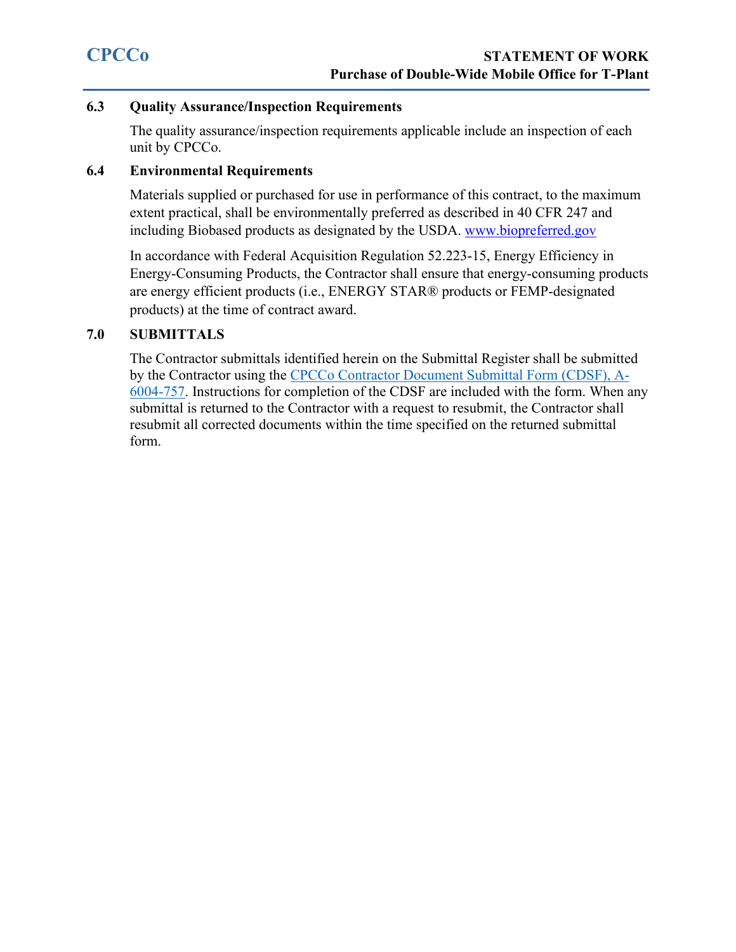# <span id="page-9-0"></span>**6.3 Quality Assurance/Inspection Requirements**

The quality assurance/inspection requirements applicable include an inspection of each unit by CPCCo.

#### <span id="page-9-1"></span>**6.4 Environmental Requirements**

Materials supplied or purchased for use in performance of this contract, to the maximum extent practical, shall be environmentally preferred as described in 40 CFR 247 and including Biobased products as designated by the USDA. [www.biopreferred.gov](http://www.biopreferred.gov/)

In accordance with Federal Acquisition Regulation 52.223-15, Energy Efficiency in Energy-Consuming Products, the Contractor shall ensure that energy-consuming products are energy efficient products (i.e., ENERGY STAR® products or FEMP-designated products) at the time of contract award.

# <span id="page-9-2"></span>**7.0 SUBMITTALS**

The Contractor submittals identified herein on the Submittal Register shall be submitted by the Contractor using the [CPCCo Contractor Document Submittal Form \(CDSF\), A-](https://cpcco.hanford.gov/page.cfm/SafetyReferenceDocuments)[6004-757.](https://cpcco.hanford.gov/page.cfm/SafetyReferenceDocuments) Instructions for completion of the CDSF are included with the form. When any submittal is returned to the Contractor with a request to resubmit, the Contractor shall resubmit all corrected documents within the time specified on the returned submittal form.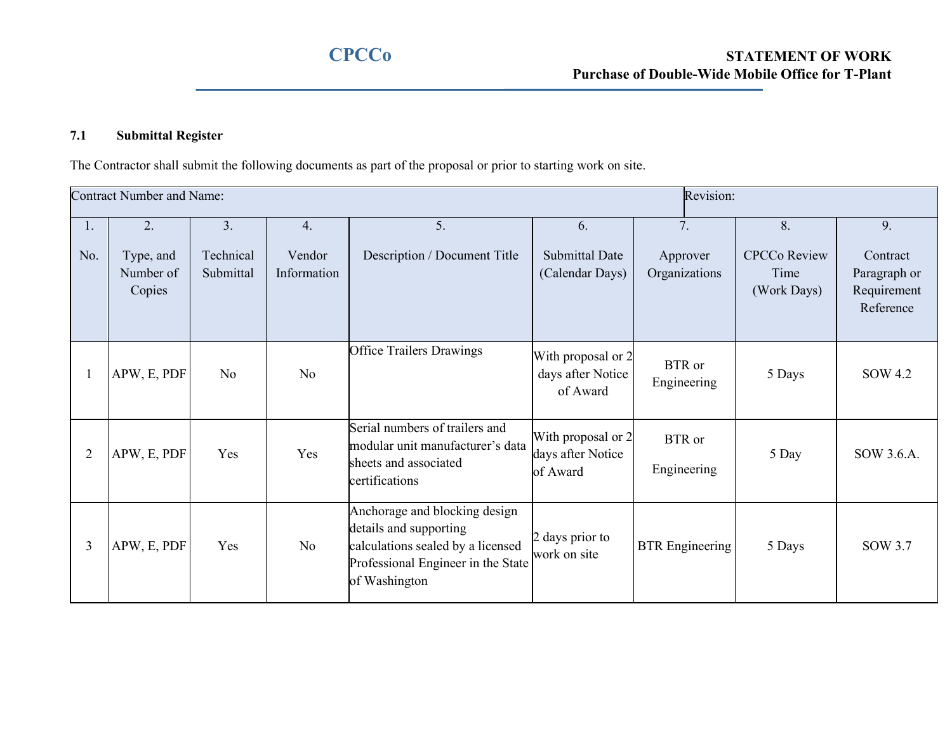# **7.1 Submittal Register**

The Contractor shall submit the following documents as part of the proposal or prior to starting work on site.

| Revision:<br><b>Contract Number and Name:</b> |                                        |                              |                             |                                                                                                                                                     |                                                     |                                 |                                                  |                                                            |
|-----------------------------------------------|----------------------------------------|------------------------------|-----------------------------|-----------------------------------------------------------------------------------------------------------------------------------------------------|-----------------------------------------------------|---------------------------------|--------------------------------------------------|------------------------------------------------------------|
| Ι.<br>No.                                     | 2.<br>Type, and<br>Number of<br>Copies | 3.<br>Technical<br>Submittal | 4.<br>Vendor<br>Information | 5.<br>Description / Document Title                                                                                                                  | 6.<br><b>Submittal Date</b><br>(Calendar Days)      | 7.<br>Approver<br>Organizations | 8.<br><b>CPCCo Review</b><br>Time<br>(Work Days) | 9.<br>Contract<br>Paragraph or<br>Requirement<br>Reference |
|                                               | APW, E, PDF                            | No                           | No                          | <b>Office Trailers Drawings</b>                                                                                                                     | With proposal or 2<br>days after Notice<br>of Award | <b>BTR</b> or<br>Engineering    | 5 Days                                           | SOW 4.2                                                    |
| $\overline{2}$                                | APW, E, PDF                            | Yes                          | Yes                         | Serial numbers of trailers and<br>modular unit manufacturer's data<br>sheets and associated<br>certifications                                       | With proposal or 2<br>days after Notice<br>of Award | BTR or<br>Engineering           | 5 Day                                            | SOW 3.6.A.                                                 |
| 3                                             | APW, E, PDF                            | Yes                          | No                          | Anchorage and blocking design<br>details and supporting<br>calculations sealed by a licensed<br>Professional Engineer in the State<br>of Washington | 2 days prior to<br>work on site                     | <b>BTR</b> Engineering          | 5 Days                                           | SOW 3.7                                                    |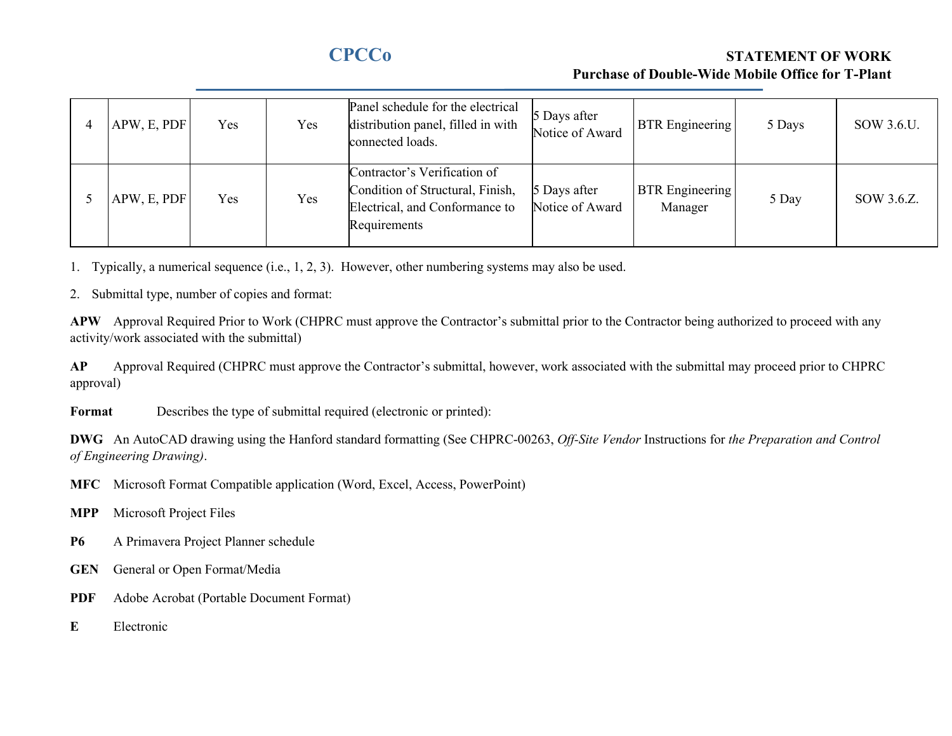# **CPCCo STATEMENT OF WORK Purchase of Double-Wide Mobile Office for T-Plant**

| 4 | APW, E, PDF | <b>Yes</b> | Yes | Panel schedule for the electrical<br>distribution panel, filled in with<br>connected loads.                        | 5 Days after<br>Notice of Award | <b>BTR</b> Engineering            | 5 Days | SOW 3.6.U. |
|---|-------------|------------|-----|--------------------------------------------------------------------------------------------------------------------|---------------------------------|-----------------------------------|--------|------------|
|   | APW, E, PDF | Yes        | Yes | Contractor's Verification of<br>Condition of Structural, Finish,<br>Electrical, and Conformance to<br>Requirements | 5 Days after<br>Notice of Award | <b>BTR</b> Engineering<br>Manager | 5 Day  | SOW 3.6.Z. |

1. Typically, a numerical sequence (i.e., 1, 2, 3). However, other numbering systems may also be used.

2. Submittal type, number of copies and format:

**APW** Approval Required Prior to Work (CHPRC must approve the Contractor's submittal prior to the Contractor being authorized to proceed with any activity/work associated with the submittal)

AP Approval Required (CHPRC must approve the Contractor's submittal, however, work associated with the submittal may proceed prior to CHPRC approval)

**Format** Describes the type of submittal required (electronic or printed):

**DWG** An AutoCAD drawing using the Hanford standard formatting (See CHPRC-00263, *Off-Site Vendor* Instructions for *the Preparation and Control of Engineering Drawing)*.

**MFC** Microsoft Format Compatible application (Word, Excel, Access, PowerPoint)

- **MPP** Microsoft Project Files
- **P6** A Primavera Project Planner schedule
- **GEN** General or Open Format/Media
- **PDF** Adobe Acrobat (Portable Document Format)
- **E** Electronic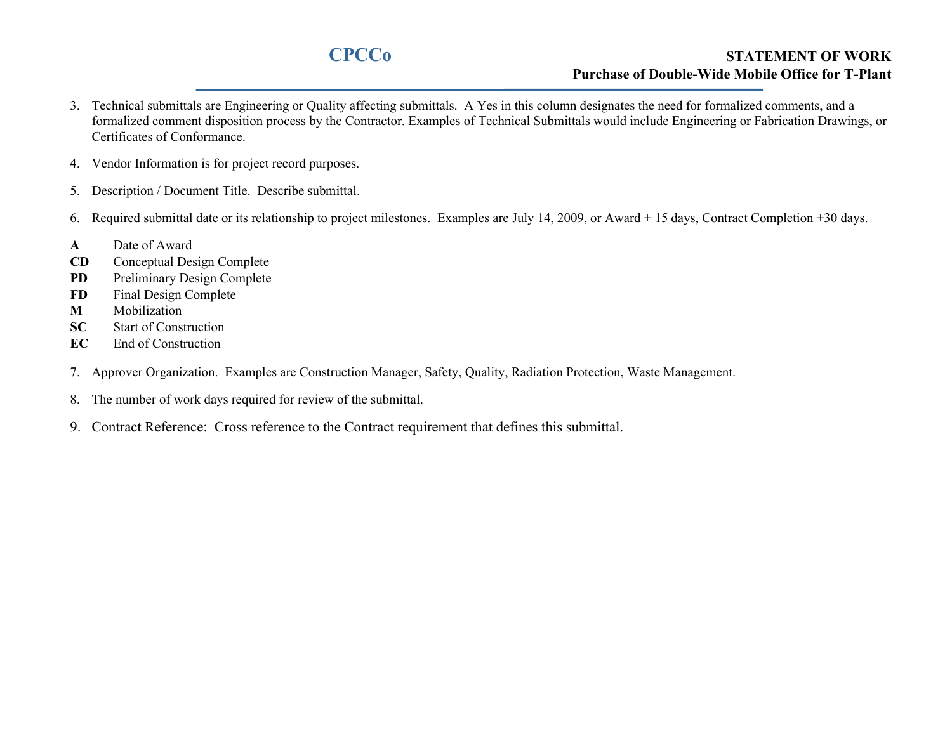# **CPCCo STATEMENT OF WORK Purchase of Double-Wide Mobile Office for T-Plant**

- 3. Technical submittals are Engineering or Quality affecting submittals. A Yes in this column designates the need for formalized comments, and a formalized comment disposition process by the Contractor. Examples of Technical Submittals would include Engineering or Fabrication Drawings, or Certificates of Conformance.
- 4. Vendor Information is for project record purposes.
- 5. Description / Document Title. Describe submittal.
- 6. Required submittal date or its relationship to project milestones. Examples are July 14, 2009, or Award + 15 days, Contract Completion +30 days.
- **A** Date of Award
- **CD** Conceptual Design Complete
- **PD** Preliminary Design Complete
- **FD** Final Design Complete
- **M** Mobilization
- **SC** Start of Construction
- **EC** End of Construction
- 7. Approver Organization. Examples are Construction Manager, Safety, Quality, Radiation Protection, Waste Management.
- 8. The number of work days required for review of the submittal.
- 9. Contract Reference: Cross reference to the Contract requirement that defines this submittal.